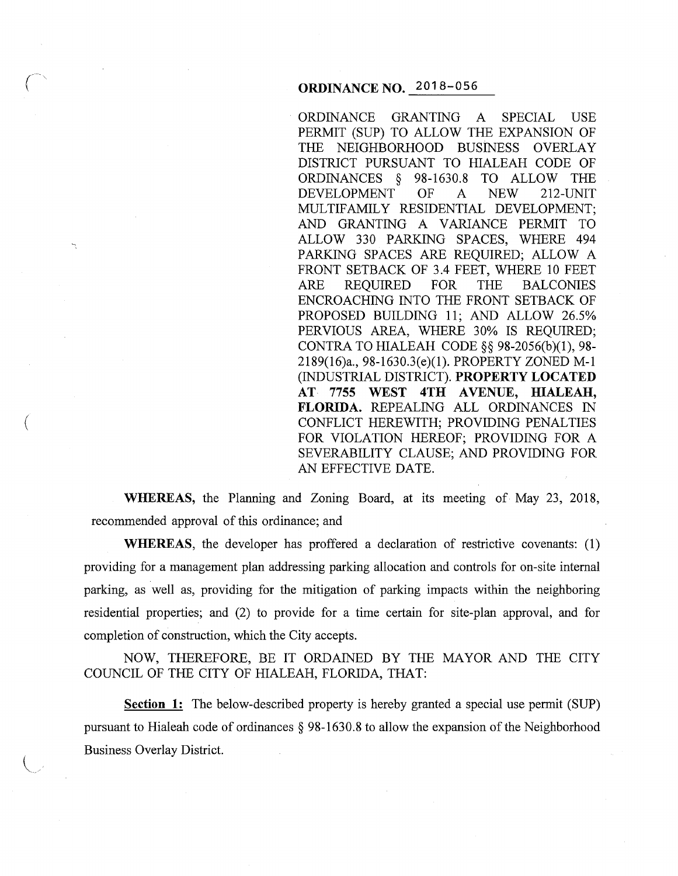## **ORDINANCE NO.** 2018-056

ORDINANCE GRANTING A SPECIAL USE PERMIT (SUP) TO ALLOW THE EXPANSION OF THE NEIGHBORHOOD BUSINESS OVERLAY DISTRICT PURSUANT TO HIALEAH CODE OF ORDINANCES § 98-1630.8 TO ALLOW THE DEVELOPMENT OF A NEW 212-UNIT MULTIFAMILY RESIDENTIAL DEVELOPMENT; AND GRANTING A VARIANCE PERMIT TO ALLOW 330 PARKING SPACES, WHERE 494 PARKING SPACES ARE REQUIRED; ALLOW A FRONT SETBACK OF 3.4 FEET, WHERE 10 FEET ARE REQUIRED FOR THE BALCONIES ENCROACHING INTO THE FRONT SETBACK OF PROPOSED BUILDING 11; AND ALLOW 26.5% PERVIOUS AREA, WHERE 30% IS REQUIRED; CONTRA TO HIALEAH CODE§§ 98-2056(b)(1), 98- 2189(16)a., 98-1630.3(e)(l). PROPERTY ZONED M-1 (INDUSTRIAL DISTRICT). **PROPERTY LOCATED AT 7755 WEST 4TH AVENUE, HIALEAH, FLORIDA.** REPEALING ALL ORDINANCES IN CONFLICT HEREWITH; PROVIDING PENAL TIES FOR VIOLATION HEREOF; PROVIDING FOR A SEVERABILITY CLAUSE; AND PROVIDING FOR AN EFFECTIVE DATE.

**WHEREAS,** the Planning and Zoning Board, at its meeting of May 23, 2018, recommended approval of this ordinance; and

 $\left($ 

 $\searrow$   $\cdot$ 

**WHEREAS,** the developer has proffered a declaration of restrictive covenants: (1) providing for a management plan addressing parking allocation and controls for on-site internal parking, as well as, providing for the mitigation of parking impacts within the neighboring residential properties; and (2) to provide for a time certain for site-plan approval, and for completion of construction, which the City accepts.

NOW, THEREFORE, BE IT ORDAINED BY THE MAYOR AND THE CITY COUNCIL OF THE CITY OF HIALEAH, FLORIDA, THAT:

**Section 1:** The below-described property is hereby granted a special use permit (SUP) pursuant to Hialeah code of ordinances § 98-1630.8 to allow the expansion of the Neighborhood Business Overlay District.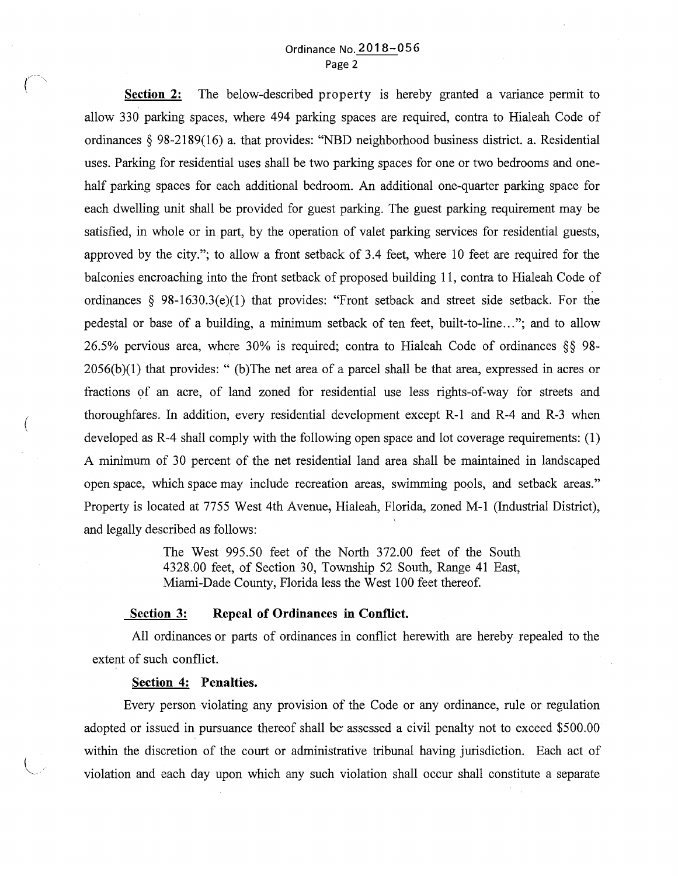## Ordinance No. 2018-056 Page 2

**Section 2:** The below-described property is hereby granted a variance permit to allow 330 parking spaces, where 494 parking spaces are required, contra to Hialeah Code of ordinances § 98-2189(16) a. that provides: "NBD neighborhood business district. a. Residential uses. Parking for residential uses shall be two parking spaces for one or two bedrooms and onehalf parking spaces for each additional bedroom. An additional one-quarter parking space for each dwelling unit shall be provided for guest parking. The guest parking requirement may be satisfied, in whole or in part, by the operation of valet parking services for residential guests, approved by the city."; to allow a front setback of 3.4 feet, where 10 feet are required for the balconies encroaching into the front setback of proposed building 11, contra to Hialeah Code of ordinances § 98-1630.3(e)(1) that provides: "Front setback and street side setback. For the pedestal or base of a building, a minimum setback of ten feet, built-to-line..."; and to allow 26.5% pervious area, where 30% is required; contra to Hialeah Code of ordinances §§ 98- 2056(b)(1) that provides: " (b)The net area of a parcel shall be that area, expressed in acres or fractions of an acre, of land zoned for residential use less rights-of-way for streets and thoroughfares. In addition, every residential development except R-1 and R-4 and R-3 when developed as R-4 shall comply with the following open space and lot coverage requirements: (1) A minimum of 30 percent of the net residential land area shall be maintained in landscaped open space, which space may include recreation areas, swimming pools, and setback areas." Property is located at 7755 West 4th Avenue, Hialeah, Florida, zoned M-1 (Industrial District), and legally described as follows:

> The West 995.50 feet of the North 372.00 feet of the South 4328.00 feet, of Section 30, Township 52 South, Range 41 East, Miami-Dade County, Florida less the West 100 feet thereof.

### **Section 3: Repeal of Ordinances in Conflict.**

All ordinances or parts of ordinances in conflict herewith are hereby repealed to the extent of such conflict.

#### **Section 4: Penalties.**

 $\overline{\mathcal{C}}$ 

*(* 

Every person violating any provision of the Code or any ordinance, rule or regulation adopted or issued in pursuance thereof shall be assessed a civil penalty not to exceed \$500.00 within the discretion of the court or administrative tribunal having jurisdiction. Each act of violation and each day upon which any such violation shall occur shall constitute a separate